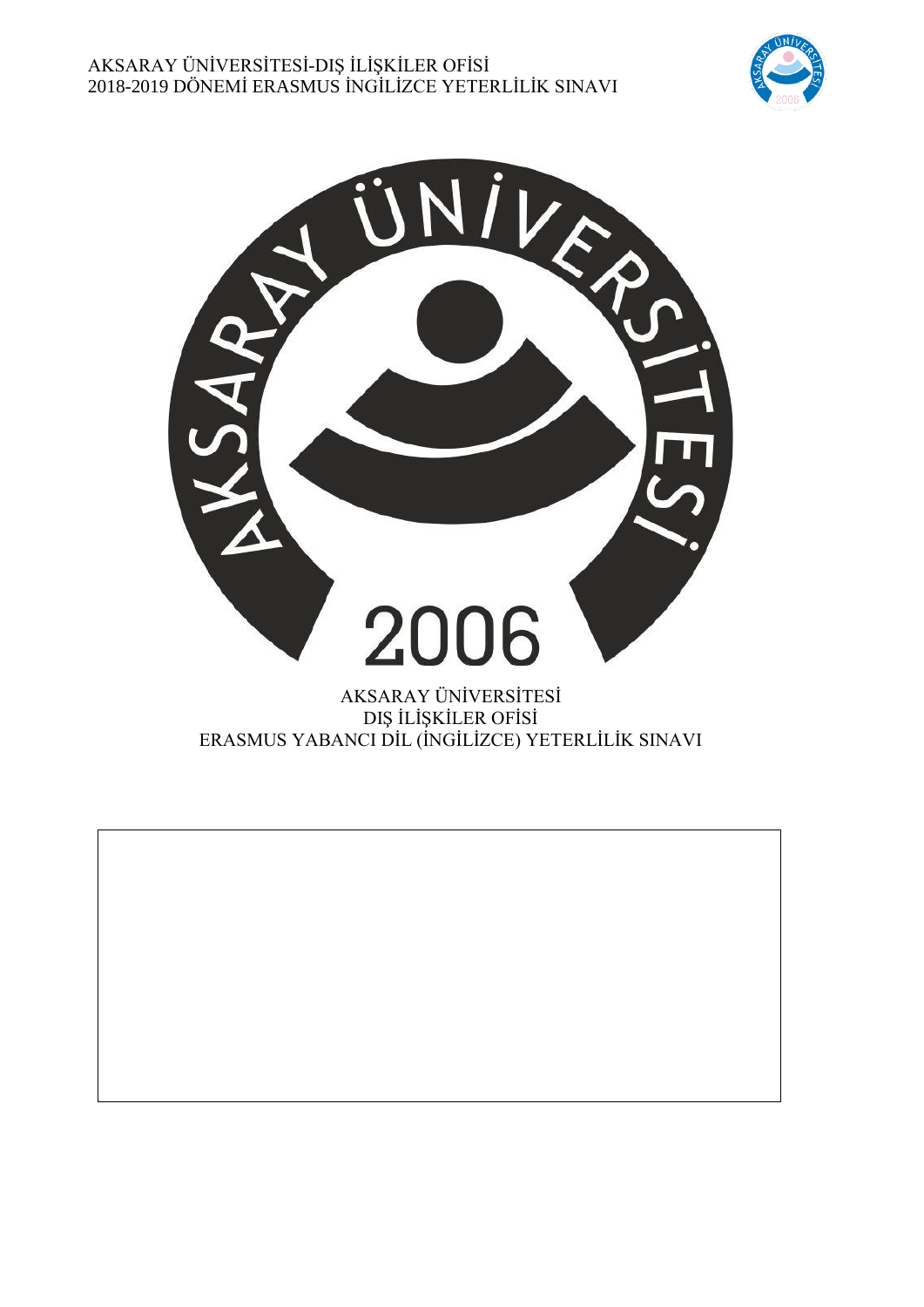



DIŞ İLİŞKİLER OFİSİ ERASMUS YABANCI DİL (İNGİLİZCE) YETERLİLİK SINAVI

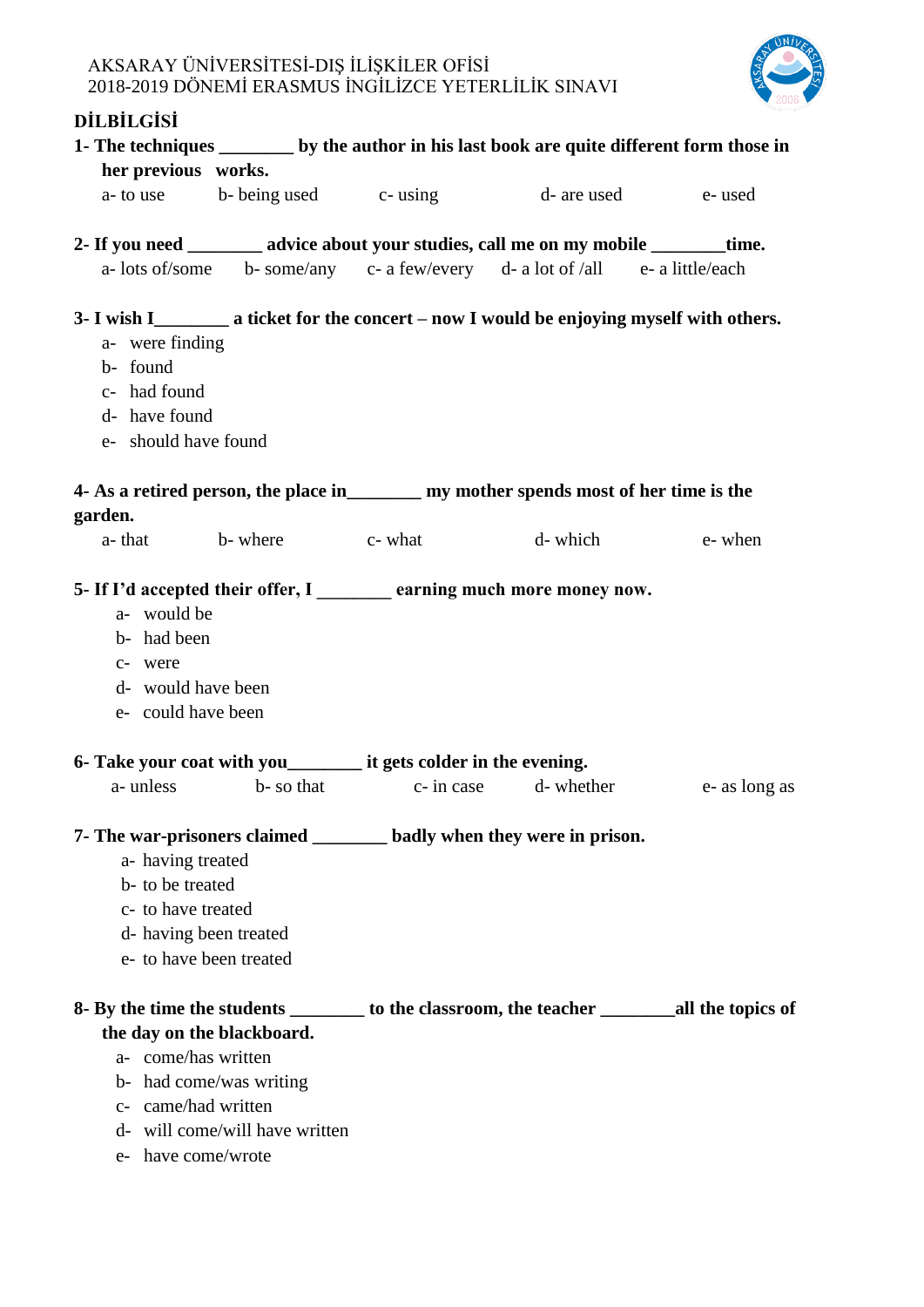

# **DİLBİLGİSİ**

|                                                              | 1- The techniques _________ by the author in his last book are quite different form those in                                                                                              |  |         |               |  |
|--------------------------------------------------------------|-------------------------------------------------------------------------------------------------------------------------------------------------------------------------------------------|--|---------|---------------|--|
|                                                              | her previous works.                                                                                                                                                                       |  |         |               |  |
|                                                              | a- to use b- being used c- using d- are used e- used                                                                                                                                      |  |         |               |  |
|                                                              | 2- If you need _________ advice about your studies, call me on my mobile ________ time.                                                                                                   |  |         |               |  |
|                                                              | a- lots of/some b- some/any c- a few/every d- a lot of /all e- a little/each                                                                                                              |  |         |               |  |
| a- were finding<br>b- found<br>c- had found<br>d- have found | 3- I wish I___________ a ticket for the concert – now I would be enjoying myself with others.<br>e- should have found                                                                     |  |         |               |  |
| garden.                                                      | 4- As a retired person, the place in _________ my mother spends most of her time is the                                                                                                   |  |         |               |  |
|                                                              | a-that b-where c-what                                                                                                                                                                     |  | d-which | e-when        |  |
| a- would be<br>b- had been<br>c- were                        | 5- If I'd accepted their offer, I earning much more money now.<br>d- would have been<br>e- could have been                                                                                |  |         |               |  |
|                                                              | 6- Take your coat with you___________ it gets colder in the evening.                                                                                                                      |  |         |               |  |
| a- unless                                                    | b- so that c- in case d- whether                                                                                                                                                          |  |         | e- as long as |  |
|                                                              | 7- The war-prisoners claimed ________ badly when they were in prison.<br>a- having treated<br>b- to be treated<br>c- to have treated<br>d- having been treated<br>e- to have been treated |  |         |               |  |
|                                                              | 8- By the time the students ___________ to the classroom, the teacher ____________ all the topics of<br>the day on the blackboard.                                                        |  |         |               |  |
|                                                              | a- come/has written<br>b- had come/was writing<br>c- came/had written<br>d- will come/will have written<br>e- have come/wrote                                                             |  |         |               |  |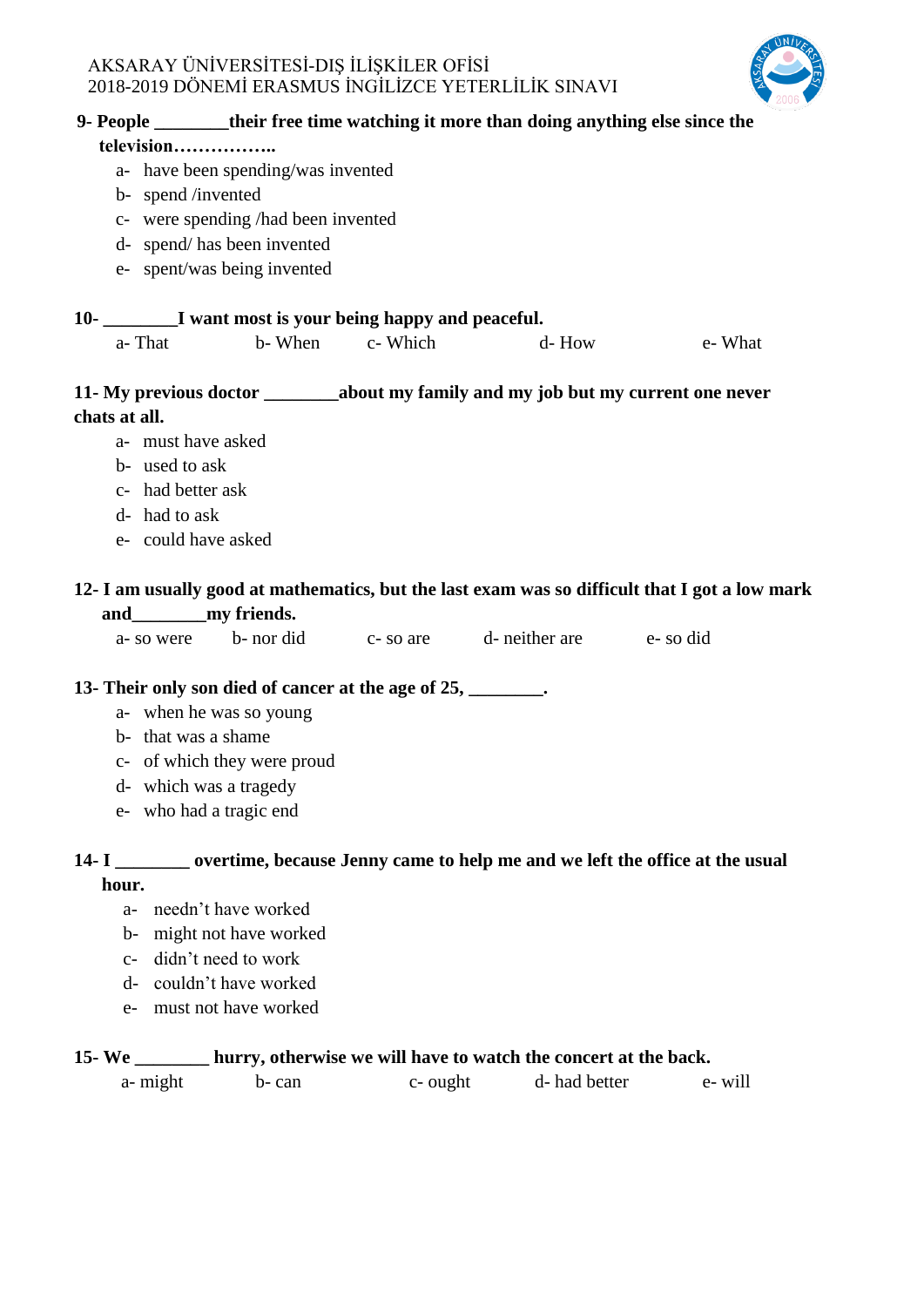

|               |                     |                                                               |                | 9- People _________ their free time watching it more than doing anything else since the |                                                                                                |
|---------------|---------------------|---------------------------------------------------------------|----------------|-----------------------------------------------------------------------------------------|------------------------------------------------------------------------------------------------|
|               | television          |                                                               |                |                                                                                         |                                                                                                |
|               |                     | a- have been spending/was invented                            |                |                                                                                         |                                                                                                |
|               | b- spend /invented  |                                                               |                |                                                                                         |                                                                                                |
|               |                     | c- were spending /had been invented                           |                |                                                                                         |                                                                                                |
|               |                     | d- spend/has been invented                                    |                |                                                                                         |                                                                                                |
|               |                     | e- spent/was being invented                                   |                |                                                                                         |                                                                                                |
|               |                     | 10- _________I want most is your being happy and peaceful.    |                |                                                                                         |                                                                                                |
|               | a-That              |                                                               | b-When c-Which | d-How                                                                                   | e- What                                                                                        |
|               |                     |                                                               |                |                                                                                         | 11- My previous doctor ___________about my family and my job but my current one never          |
| chats at all. |                     |                                                               |                |                                                                                         |                                                                                                |
|               | a- must have asked  |                                                               |                |                                                                                         |                                                                                                |
|               | b- used to ask      |                                                               |                |                                                                                         |                                                                                                |
|               | c- had better ask   |                                                               |                |                                                                                         |                                                                                                |
|               | d- had to ask       |                                                               |                |                                                                                         |                                                                                                |
|               | e- could have asked |                                                               |                |                                                                                         |                                                                                                |
|               |                     |                                                               |                |                                                                                         | 12- I am usually good at mathematics, but the last exam was so difficult that I got a low mark |
|               |                     |                                                               |                |                                                                                         |                                                                                                |
|               |                     |                                                               |                | a-so were b-nor did c-so are d-neither are e-so did                                     |                                                                                                |
|               |                     | 13- Their only son died of cancer at the age of 25, ________. |                |                                                                                         |                                                                                                |
|               |                     | a- when he was so young                                       |                |                                                                                         |                                                                                                |
|               | b- that was a shame |                                                               |                |                                                                                         |                                                                                                |
|               |                     | c- of which they were proud                                   |                |                                                                                         |                                                                                                |
|               |                     | d- which was a tragedy                                        |                |                                                                                         |                                                                                                |
|               |                     | e- who had a tragic end                                       |                |                                                                                         |                                                                                                |
|               |                     |                                                               |                |                                                                                         | 14- I _________ overtime, because Jenny came to help me and we left the office at the usual    |
| hour.         |                     |                                                               |                |                                                                                         |                                                                                                |

- a- needn't have worked
- b- might not have worked
- c- didn't need to work
- d- couldn't have worked
- e- must not have worked

## **15- We \_\_\_\_\_\_\_\_ hurry, otherwise we will have to watch the concert at the back.**

| a- might | b-can | c- ought | d- had better | e-will |
|----------|-------|----------|---------------|--------|
|          |       |          |               |        |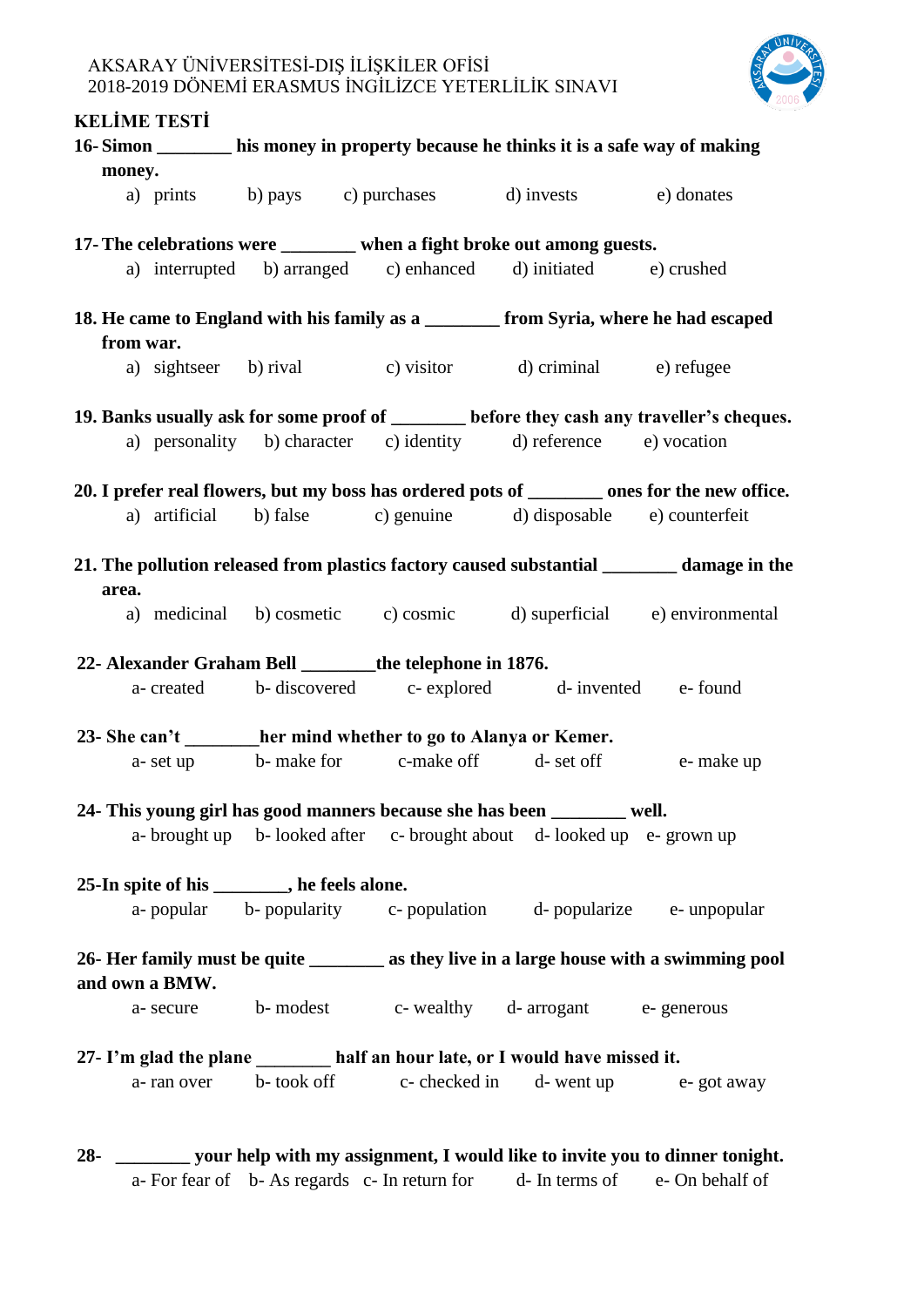

## **KELİME TESTİ**

|                                                                                                             |                                                                              |                                              | 16-Simon ________ his money in property because he thinks it is a safe way of making  |  |                                                                                            |  |  |
|-------------------------------------------------------------------------------------------------------------|------------------------------------------------------------------------------|----------------------------------------------|---------------------------------------------------------------------------------------|--|--------------------------------------------------------------------------------------------|--|--|
| money.                                                                                                      |                                                                              |                                              |                                                                                       |  |                                                                                            |  |  |
|                                                                                                             |                                                                              |                                              | a) prints b) pays c) purchases d) invests e) donates                                  |  |                                                                                            |  |  |
|                                                                                                             | 17- The celebrations were _______ when a fight broke out among guests.       |                                              |                                                                                       |  |                                                                                            |  |  |
|                                                                                                             |                                                                              |                                              | a) interrupted b) arranged c) enhanced d) initiated e) crushed                        |  |                                                                                            |  |  |
|                                                                                                             |                                                                              |                                              | 18. He came to England with his family as a ________ from Syria, where he had escaped |  |                                                                                            |  |  |
| from war.                                                                                                   |                                                                              |                                              |                                                                                       |  |                                                                                            |  |  |
|                                                                                                             |                                                                              |                                              | a) sightseer b) rival c) visitor d) criminal e) refugee                               |  |                                                                                            |  |  |
|                                                                                                             |                                                                              |                                              |                                                                                       |  | 19. Banks usually ask for some proof of ______ before they cash any traveller's cheques.   |  |  |
|                                                                                                             |                                                                              |                                              | a) personality b) character c) identity d) reference e) vocation                      |  |                                                                                            |  |  |
|                                                                                                             |                                                                              |                                              |                                                                                       |  | 20. I prefer real flowers, but my boss has ordered pots of ______ ones for the new office. |  |  |
|                                                                                                             |                                                                              |                                              | a) artificial b) false c) genuine d) disposable e) counterfeit                        |  |                                                                                            |  |  |
| area.                                                                                                       |                                                                              |                                              |                                                                                       |  | 21. The pollution released from plastics factory caused substantial _______ damage in the  |  |  |
|                                                                                                             |                                                                              |                                              |                                                                                       |  | a) medicinal b) cosmetic c) cosmic d) superficial e) environmental                         |  |  |
|                                                                                                             |                                                                              |                                              | 22- Alexander Graham Bell ________the telephone in 1876.                              |  |                                                                                            |  |  |
|                                                                                                             |                                                                              |                                              | a-created b-discovered c-explored d-invented e-found                                  |  |                                                                                            |  |  |
|                                                                                                             |                                                                              |                                              | 23- She can't her mind whether to go to Alanya or Kemer.                              |  |                                                                                            |  |  |
|                                                                                                             |                                                                              |                                              | a- set up b- make for c-make off d- set off e- make up                                |  |                                                                                            |  |  |
|                                                                                                             |                                                                              |                                              | 24- This young girl has good manners because she has been ______ well.                |  |                                                                                            |  |  |
|                                                                                                             |                                                                              |                                              | a- brought up b- looked after c- brought about d- looked up e- grown up               |  |                                                                                            |  |  |
|                                                                                                             |                                                                              | 25-In spite of his ________, he feels alone. |                                                                                       |  |                                                                                            |  |  |
|                                                                                                             |                                                                              |                                              | a-popular b-popularity c-population d-popularize e-unpopular                          |  |                                                                                            |  |  |
| 26- Her family must be quite _________ as they live in a large house with a swimming pool<br>and own a BMW. |                                                                              |                                              |                                                                                       |  |                                                                                            |  |  |
|                                                                                                             |                                                                              |                                              | a- secure b- modest c- wealthy d- arrogant e- generous                                |  |                                                                                            |  |  |
|                                                                                                             | 27- I'm glad the plane _______ half an hour late, or I would have missed it. |                                              |                                                                                       |  |                                                                                            |  |  |
|                                                                                                             |                                                                              |                                              | a-ran over b-took off c-checked in d-went up e-got away                               |  |                                                                                            |  |  |
|                                                                                                             |                                                                              |                                              |                                                                                       |  |                                                                                            |  |  |
|                                                                                                             |                                                                              |                                              |                                                                                       |  | 28- _________ your help with my assignment, I would like to invite you to dinner tonight.  |  |  |

a- For fear of b- As regards c- In return for d- In terms of e- On behalf of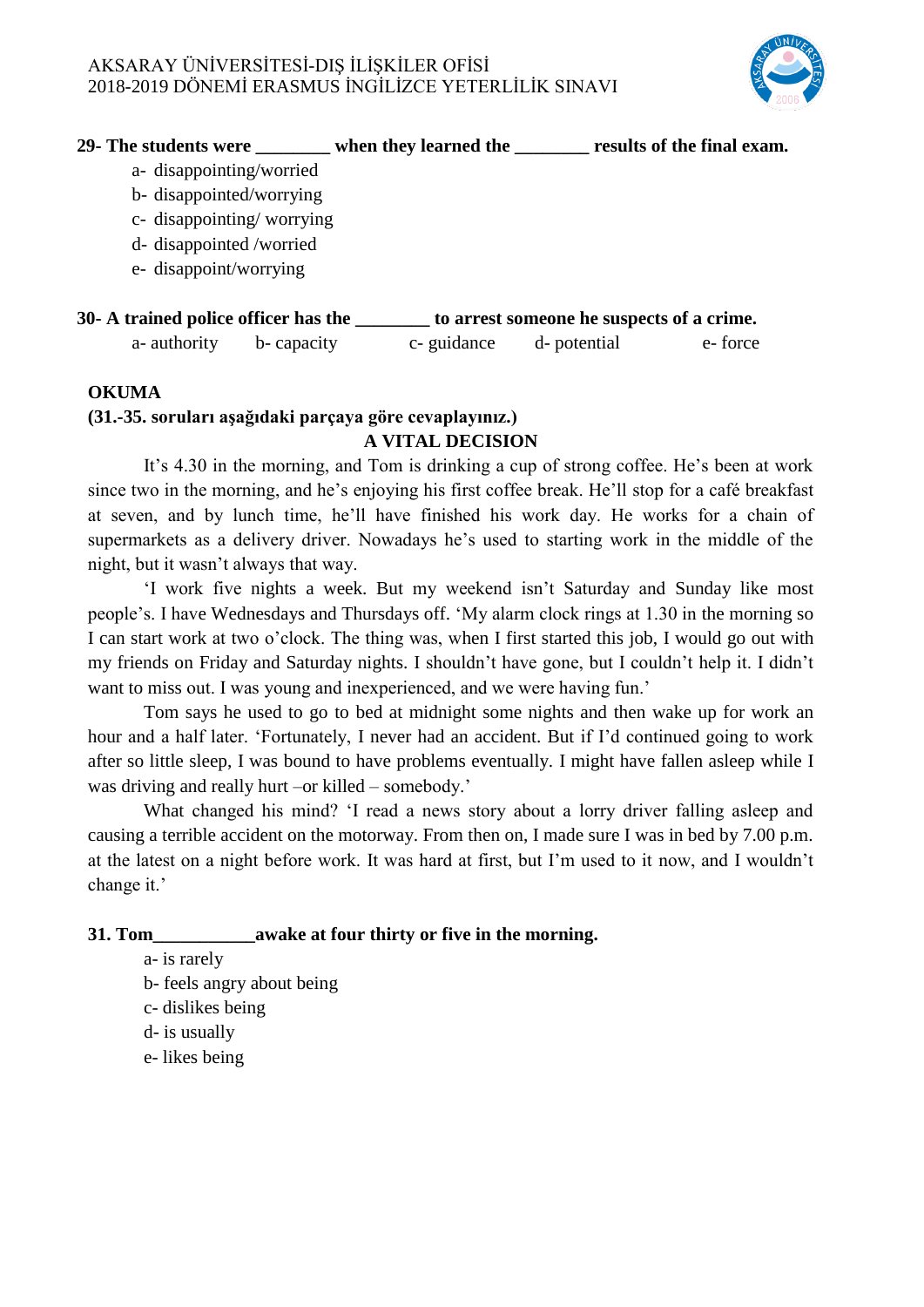

| 29- The students were                | when they learned the | results of the final exam.                |
|--------------------------------------|-----------------------|-------------------------------------------|
| a- disappointing/worried             |                       |                                           |
| b-disappointed/worrying              |                       |                                           |
| c- disappointing/worrying            |                       |                                           |
| d- disappointed /worried             |                       |                                           |
| e- disappoint/worrying               |                       |                                           |
|                                      |                       |                                           |
| 30- A trained police officer has the |                       | to arrest someone he suspects of a crime. |

| r u annoù pontet omret mas urt |            | to arrest someone ne suspects or a crime. |         |
|--------------------------------|------------|-------------------------------------------|---------|
| a- authority b- capacity       | c-guidance | d- potential                              | e-force |

#### **OKUMA**

#### **(31.-35. soruları aşağıdaki parçaya göre cevaplayınız.) A VITAL DECISION**

It's 4.30 in the morning, and Tom is drinking a cup of strong coffee. He's been at work since two in the morning, and he's enjoying his first coffee break. He'll stop for a café breakfast at seven, and by lunch time, he'll have finished his work day. He works for a chain of supermarkets as a delivery driver. Nowadays he's used to starting work in the middle of the night, but it wasn't always that way.

‗I work five nights a week. But my weekend isn't Saturday and Sunday like most people's. I have Wednesdays and Thursdays off. ‗My alarm clock rings at 1.30 in the morning so I can start work at two o'clock. The thing was, when I first started this job, I would go out with my friends on Friday and Saturday nights. I shouldn't have gone, but I couldn't help it. I didn't want to miss out. I was young and inexperienced, and we were having fun.'

Tom says he used to go to bed at midnight some nights and then wake up for work an hour and a half later. 'Fortunately, I never had an accident. But if I'd continued going to work after so little sleep, I was bound to have problems eventually. I might have fallen asleep while I was driving and really hurt –or killed – somebody.'

What changed his mind? 'I read a news story about a lorry driver falling asleep and causing a terrible accident on the motorway. From then on, I made sure I was in bed by 7.00 p.m. at the latest on a night before work. It was hard at first, but I'm used to it now, and I wouldn't change it.'

#### **31. Tom\_\_\_\_\_\_\_\_\_\_\_awake at four thirty or five in the morning.**

a- is rarely

- b- feels angry about being
- c- dislikes being
- d- is usually
- e- likes being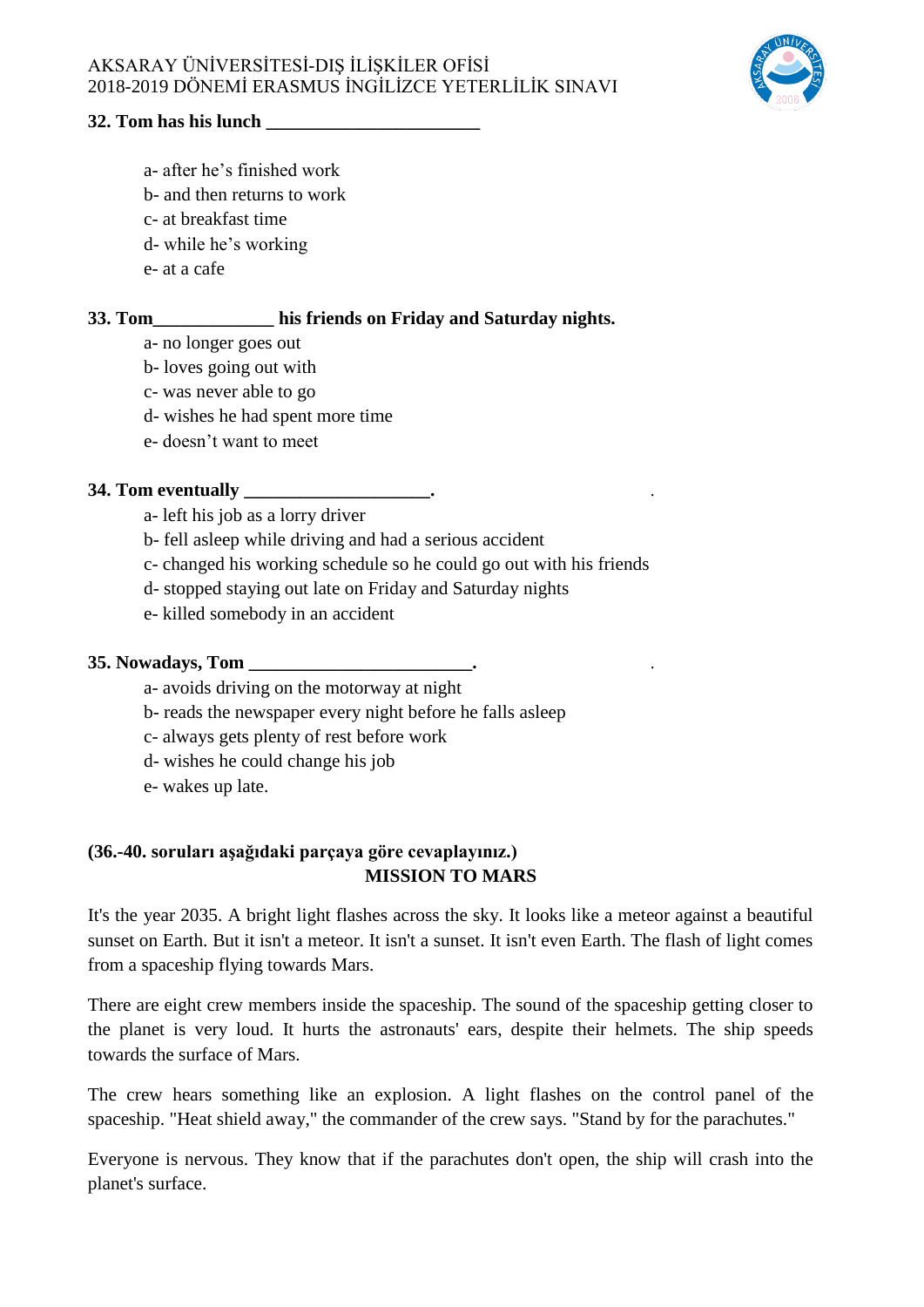

#### **32. Tom has his lunch**

- a- after he's finished work
- b- and then returns to work
- c- at breakfast time
- d- while he's working
- e- at a cafe

## **33. Tom\_\_\_\_\_\_\_\_\_\_\_\_\_ his friends on Friday and Saturday nights.**

- a- no longer goes out
- b- loves going out with
- c- was never able to go
- d- wishes he had spent more time
- e- doesn't want to meet

#### **34. Tom eventually \_\_\_\_\_\_\_\_\_\_\_\_\_\_\_\_\_\_\_\_.**  .

- a- left his job as a lorry driver
- b- fell asleep while driving and had a serious accident
- c- changed his working schedule so he could go out with his friends
- d- stopped staying out late on Friday and Saturday nights
- e- killed somebody in an accident

#### **35. Nowadays, Tom \_\_\_\_\_\_\_\_\_\_\_\_\_\_\_\_\_\_\_\_\_\_\_\_.**  .

- a- avoids driving on the motorway at night
- b- reads the newspaper every night before he falls asleep
- c- always gets plenty of rest before work
- d- wishes he could change his job
- e- wakes up late.

### **(36.-40. soruları aşağıdaki parçaya göre cevaplayınız.) MISSION TO MARS**

It's the year 2035. A bright light flashes across the sky. It looks like a meteor against a beautiful sunset on Earth. But it isn't a meteor. It isn't a sunset. It isn't even Earth. The flash of light comes from a spaceship flying towards Mars.

There are eight crew members inside the spaceship. The sound of the spaceship getting closer to the planet is very loud. It hurts the astronauts' ears, despite their helmets. The ship speeds towards the surface of Mars.

The crew hears something like an explosion. A light flashes on the control panel of the spaceship. "Heat shield away," the commander of the crew says. "Stand by for the parachutes."

Everyone is nervous. They know that if the parachutes don't open, the ship will crash into the planet's surface.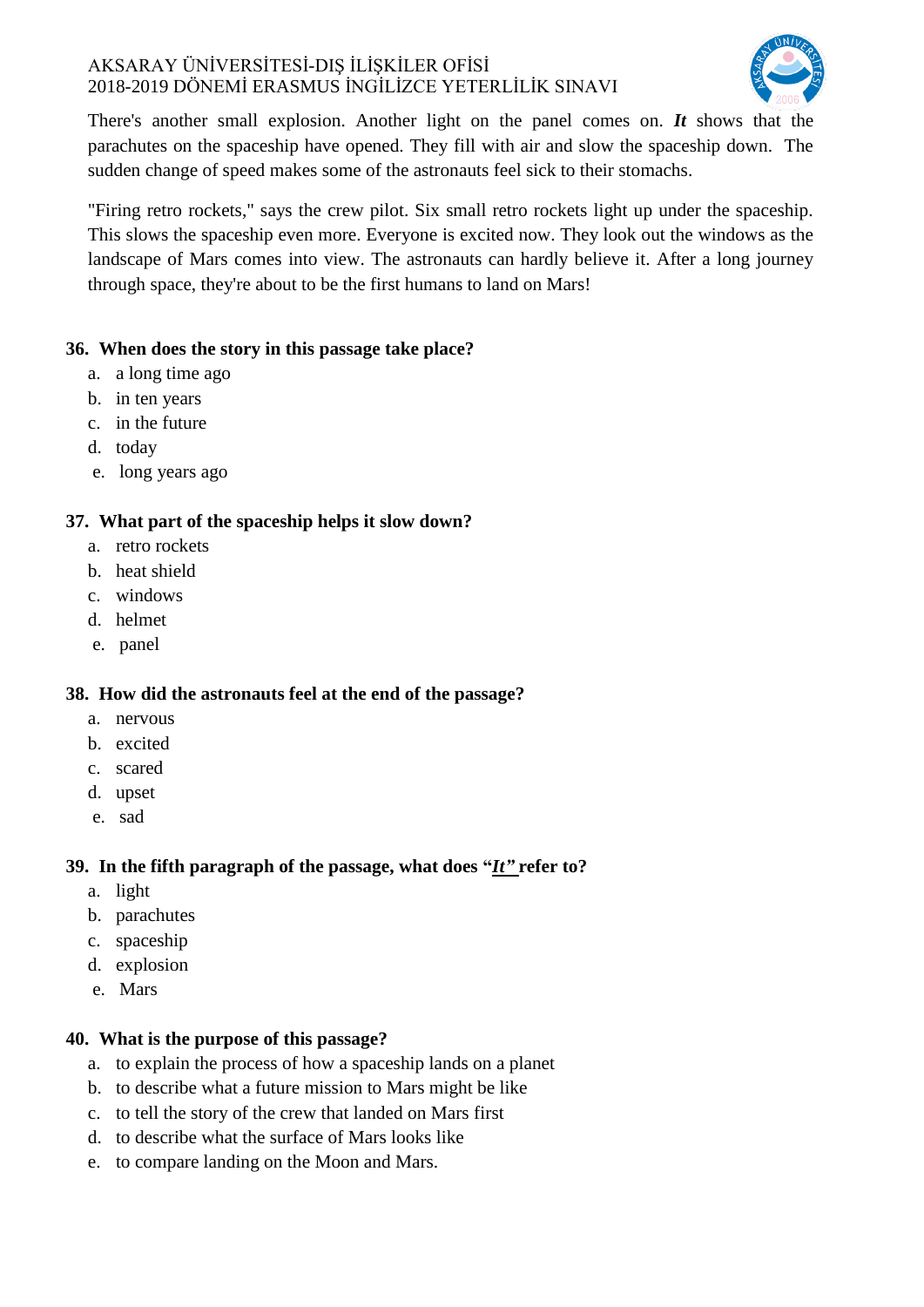

There's another small explosion. Another light on the panel comes on. *It* shows that the parachutes on the spaceship have opened. They fill with air and slow the spaceship down. The sudden change of speed makes some of the astronauts feel sick to their stomachs.

"Firing retro rockets," says the crew pilot. Six small retro rockets light up under the spaceship. This slows the spaceship even more. Everyone is excited now. They look out the windows as the landscape of Mars comes into view. The astronauts can hardly believe it. After a long journey through space, they're about to be the first humans to land on Mars!

## **36. When does the story in this passage take place?**

- a. a long time ago
- b. in ten years
- c. in the future
- d. today
- e. long years ago

## **37. What part of the spaceship helps it slow down?**

- a. retro rockets
- b. heat shield
- c. windows
- d. helmet
- e. panel

## **38. How did the astronauts feel at the end of the passage?**

- a. nervous
- b. excited
- c. scared
- d. upset
- e. sad

## **39. In the fifth paragraph of the passage, what does "***It"* **refer to?**

- a. light
- b. parachutes
- c. spaceship
- d. explosion
- e. Mars

## **40. What is the purpose of this passage?**

- a. to explain the process of how a spaceship lands on a planet
- b. to describe what a future mission to Mars might be like
- c. to tell the story of the crew that landed on Mars first
- d. to describe what the surface of Mars looks like
- e. to compare landing on the Moon and Mars.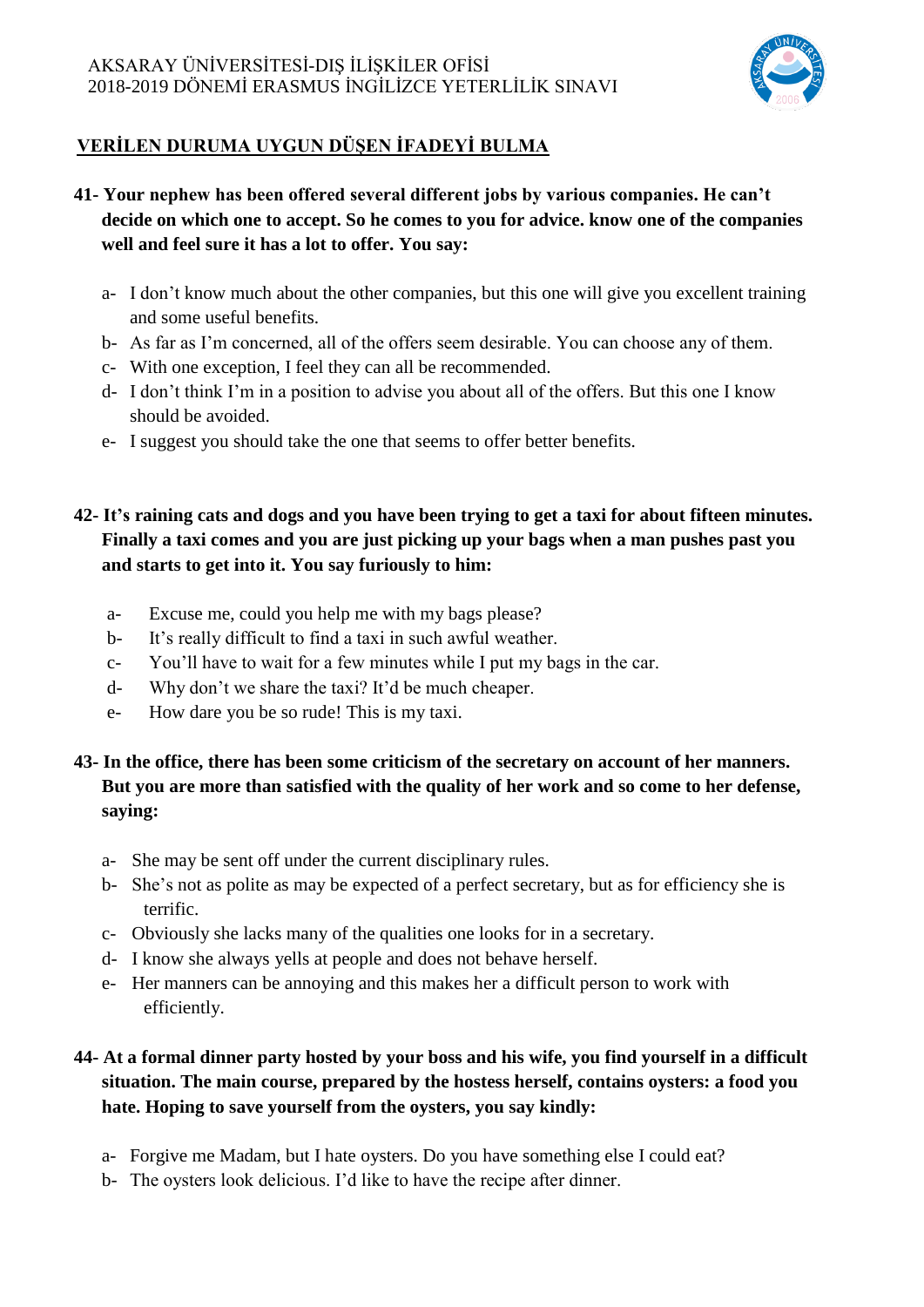

# **VERİLEN DURUMA UYGUN DÜŞEN İFADEYİ BULMA**

- **41- Your nephew has been offered several different jobs by various companies. He can't decide on which one to accept. So he comes to you for advice. know one of the companies well and feel sure it has a lot to offer. You say:**
	- a- I don't know much about the other companies, but this one will give you excellent training and some useful benefits.
	- b- As far as I'm concerned, all of the offers seem desirable. You can choose any of them.
	- c- With one exception, I feel they can all be recommended.
	- d- I don't think I'm in a position to advise you about all of the offers. But this one I know should be avoided.
	- e- I suggest you should take the one that seems to offer better benefits.
- **42- It's raining cats and dogs and you have been trying to get a taxi for about fifteen minutes. Finally a taxi comes and you are just picking up your bags when a man pushes past you and starts to get into it. You say furiously to him:**
	- a- Excuse me, could you help me with my bags please?
	- b- It's really difficult to find a taxi in such awful weather.
	- c- You'll have to wait for a few minutes while I put my bags in the car.
	- d- Why don't we share the taxi? It'd be much cheaper.
	- e- How dare you be so rude! This is my taxi.
- **43- In the office, there has been some criticism of the secretary on account of her manners. But you are more than satisfied with the quality of her work and so come to her defense, saying:**
	- a- She may be sent off under the current disciplinary rules.
	- b- She's not as polite as may be expected of a perfect secretary, but as for efficiency she is terrific.
	- c- Obviously she lacks many of the qualities one looks for in a secretary.
	- d- I know she always yells at people and does not behave herself.
	- e- Her manners can be annoying and this makes her a difficult person to work with efficiently.

# **44- At a formal dinner party hosted by your boss and his wife, you find yourself in a difficult situation. The main course, prepared by the hostess herself, contains oysters: a food you hate. Hoping to save yourself from the oysters, you say kindly:**

- a- Forgive me Madam, but I hate oysters. Do you have something else I could eat?
- b- The oysters look delicious. I'd like to have the recipe after dinner.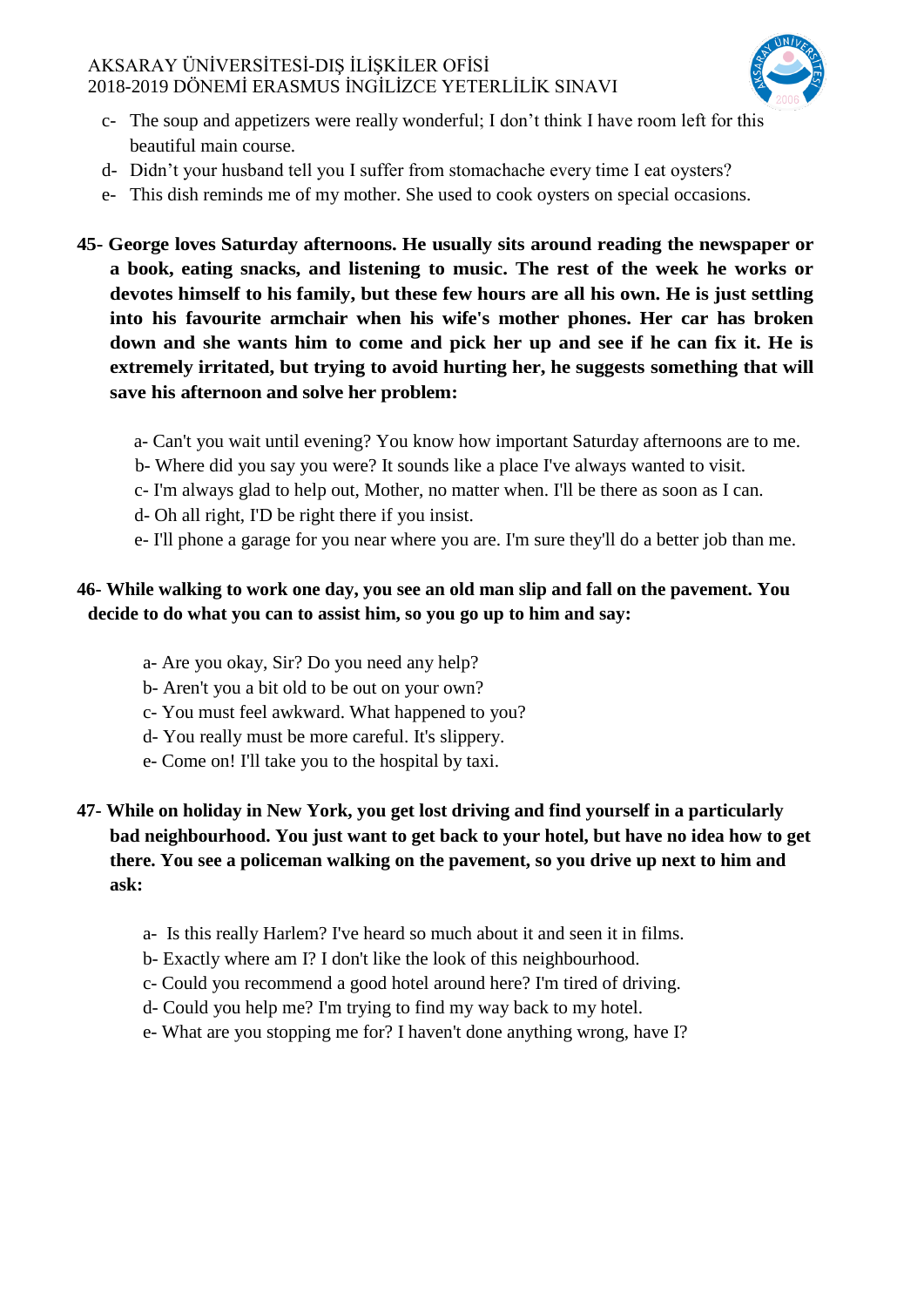

- c- The soup and appetizers were really wonderful; I don't think I have room left for this beautiful main course.
- d- Didn't your husband tell you I suffer from stomachache every time I eat oysters?
- e- This dish reminds me of my mother. She used to cook oysters on special occasions.
- **45- George loves Saturday afternoons. He usually sits around reading the newspaper or a book, eating snacks, and listening to music. The rest of the week he works or devotes himself to his family, but these few hours are all his own. He is just settling into his favourite armchair when his wife's mother phones. Her car has broken down and she wants him to come and pick her up and see if he can fix it. He is extremely irritated, but trying to avoid hurting her, he suggests something that will save his afternoon and solve her problem:**
	- a- Can't you wait until evening? You know how important Saturday afternoons are to me.
	- b- Where did you say you were? It sounds like a place I've always wanted to visit.
	- c- I'm always glad to help out, Mother, no matter when. I'll be there as soon as I can.
	- d- Oh all right, I'D be right there if you insist.
	- e- I'll phone a garage for you near where you are. I'm sure they'll do a better job than me.

### **46- While walking to work one day, you see an old man slip and fall on the pavement. You decide to do what you can to assist him, so you go up to him and say:**

- a- Are you okay, Sir? Do you need any help?
- b- Aren't you a bit old to be out on your own?
- c- You must feel awkward. What happened to you?
- d- You really must be more careful. It's slippery.
- e- Come on! I'll take you to the hospital by taxi.

## **47- While on holiday in New York, you get lost driving and find yourself in a particularly bad neighbourhood. You just want to get back to your hotel, but have no idea how to get there. You see a policeman walking on the pavement, so you drive up next to him and ask:**

- a- Is this really Harlem? I've heard so much about it and seen it in films.
- b- Exactly where am I? I don't like the look of this neighbourhood.
- c- Could you recommend a good hotel around here? I'm tired of driving.
- d- Could you help me? I'm trying to find my way back to my hotel.
- e- What are you stopping me for? I haven't done anything wrong, have I?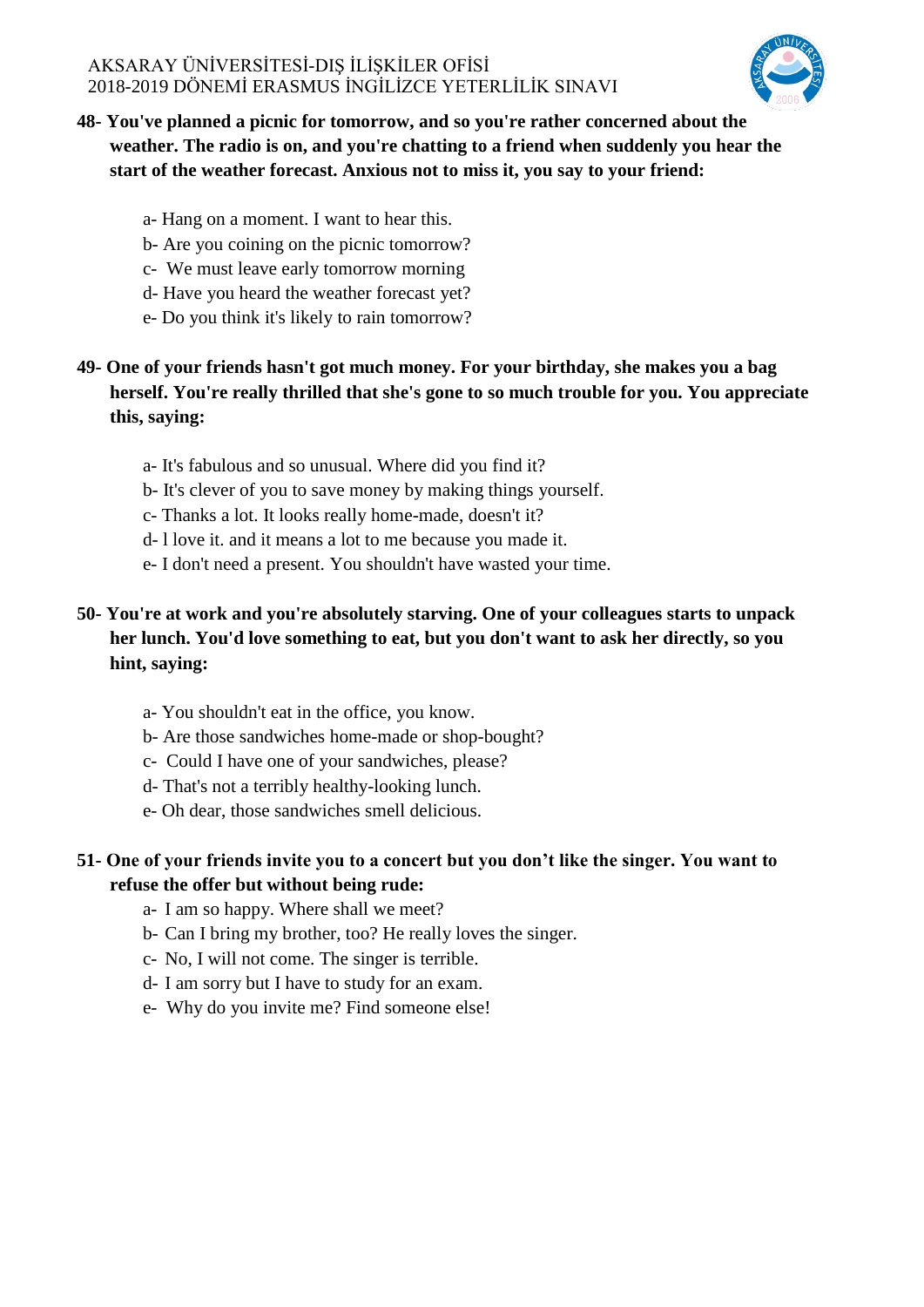

## **48- You've planned a picnic for tomorrow, and so you're rather concerned about the weather. The radio is on, and you're chatting to a friend when suddenly you hear the start of the weather forecast. Anxious not to miss it, you say to your friend:**

- a- Hang on a moment. I want to hear this.
- b- Are you coining on the picnic tomorrow?
- c- We must leave early tomorrow morning
- d- Have you heard the weather forecast yet?
- e- Do you think it's likely to rain tomorrow?

## **49- One of your friends hasn't got much money. For your birthday, she makes you a bag herself. You're really thrilled that she's gone to so much trouble for you. You appreciate this, saying:**

- a- It's fabulous and so unusual. Where did you find it?
- b- It's clever of you to save money by making things yourself.
- c- Thanks a lot. It looks really home-made, doesn't it?
- d- l love it. and it means a lot to me because you made it.
- e- I don't need a present. You shouldn't have wasted your time.

## **50- You're at work and you're absolutely starving. One of your colleagues starts to unpack her lunch. You'd love something to eat, but you don't want to ask her directly, so you hint, saying:**

- a- You shouldn't eat in the office, you know.
- b- Are those sandwiches home-made or shop-bought?
- c- Could I have one of your sandwiches, please?
- d- That's not a terribly healthy-looking lunch.
- e- Oh dear, those sandwiches smell delicious.

#### **51- One of your friends invite you to a concert but you don't like the singer. You want to refuse the offer but without being rude:**

- a- I am so happy. Where shall we meet?
- b- Can I bring my brother, too? He really loves the singer.
- c- No, I will not come. The singer is terrible.
- d- I am sorry but I have to study for an exam.
- e- Why do you invite me? Find someone else!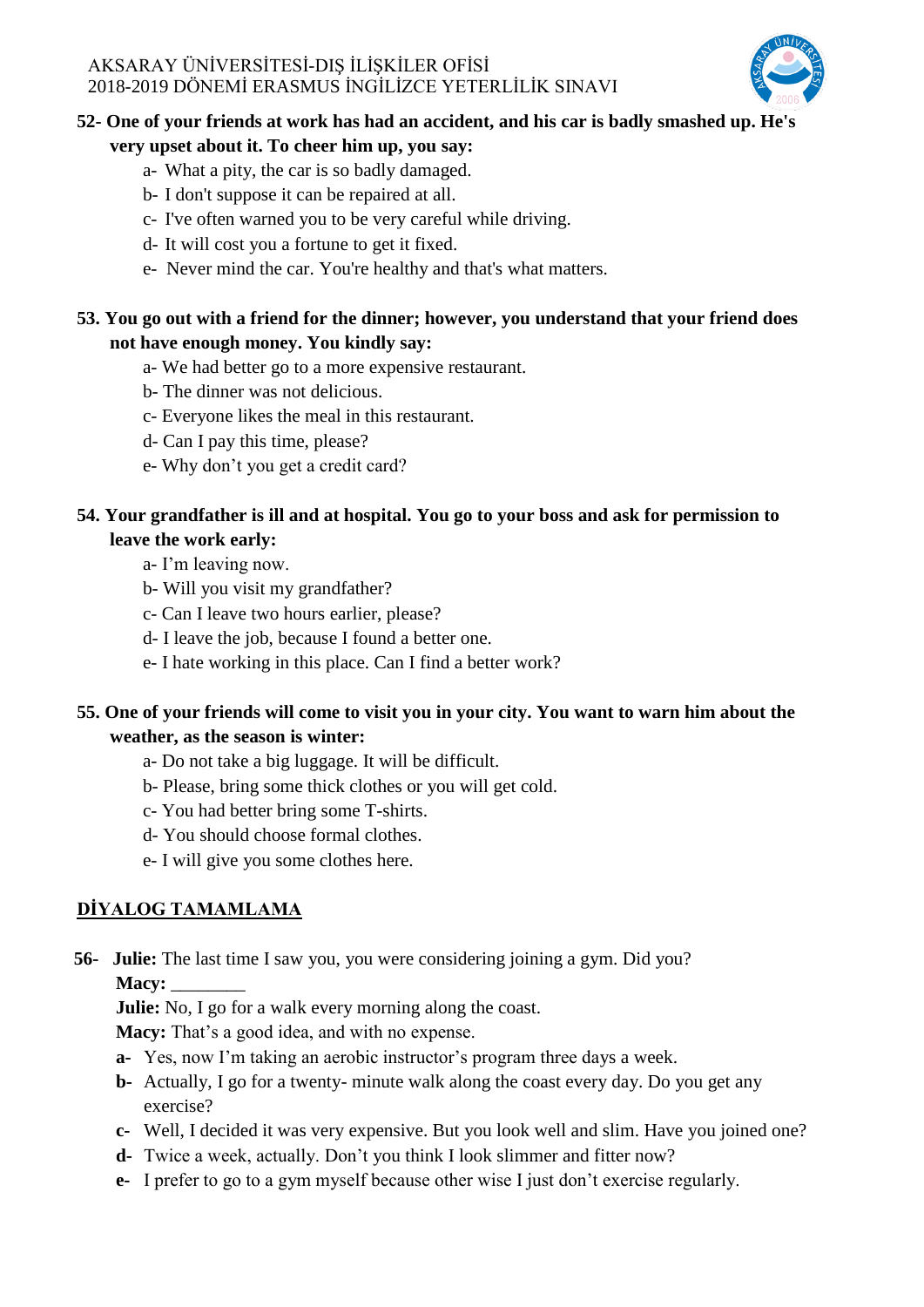

### **52- One of your friends at work has had an accident, and his car is badly smashed up. He's**

#### **very upset about it. To cheer him up, you say:**

- a- What a pity, the car is so badly damaged.
- b- I don't suppose it can be repaired at all.
- c- I've often warned you to be very careful while driving.
- d- It will cost you a fortune to get it fixed.
- e- Never mind the car. You're healthy and that's what matters.

### **53. You go out with a friend for the dinner; however, you understand that your friend does not have enough money. You kindly say:**

- a- We had better go to a more expensive restaurant.
- b- The dinner was not delicious.
- c- Everyone likes the meal in this restaurant.
- d- Can I pay this time, please?
- e- Why don't you get a credit card?

## **54. Your grandfather is ill and at hospital. You go to your boss and ask for permission to leave the work early:**

- a- I'm leaving now.
- b- Will you visit my grandfather?
- c- Can I leave two hours earlier, please?
- d- I leave the job, because I found a better one.
- e- I hate working in this place. Can I find a better work?

## **55. One of your friends will come to visit you in your city. You want to warn him about the weather, as the season is winter:**

- a- Do not take a big luggage. It will be difficult.
- b- Please, bring some thick clothes or you will get cold.
- c- You had better bring some T-shirts.
- d- You should choose formal clothes.
- e- I will give you some clothes here.

## **DİYALOG TAMAMLAMA**

**56- Julie:** The last time I saw you, you were considering joining a gym. Did you?

**Macy:** \_\_\_\_\_\_\_\_

**Julie:** No, I go for a walk every morning along the coast.

**Macy:** That's a good idea, and with no expense.

- **a-** Yes, now I'm taking an aerobic instructor's program three days a week.
- **b-** Actually, I go for a twenty- minute walk along the coast every day. Do you get any exercise?
- **c-** Well, I decided it was very expensive. But you look well and slim. Have you joined one?
- **d-** Twice a week, actually. Don't you think I look slimmer and fitter now?
- **e-** I prefer to go to a gym myself because other wise I just don't exercise regularly.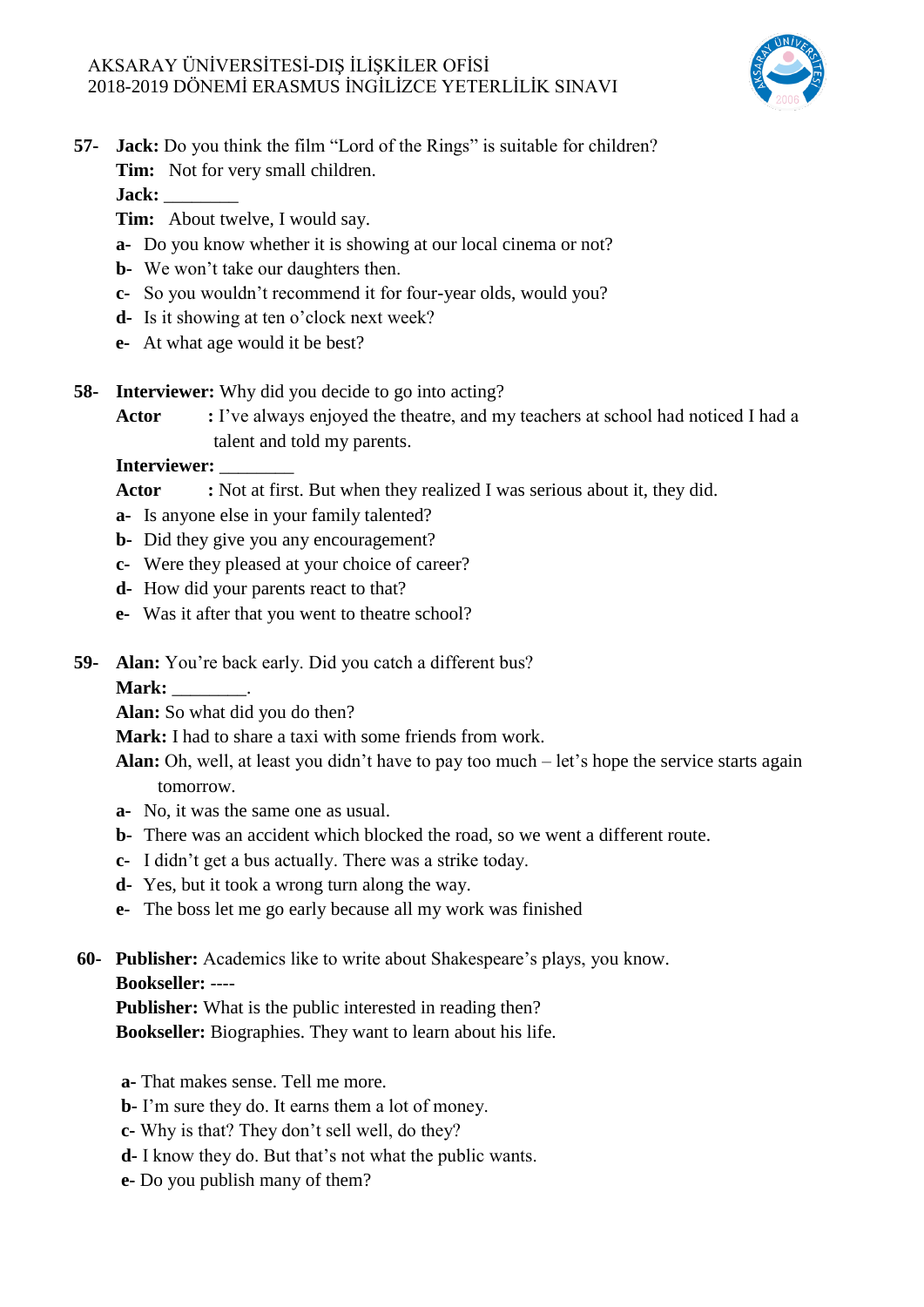

## **57- Jack:** Do you think the film "Lord of the Rings" is suitable for children? **Tim:** Not for very small children.

**Jack:** \_\_\_\_\_\_\_\_

- **Tim:** About twelve, I would say.
- **a-** Do you know whether it is showing at our local cinema or not?
- **b-** We won't take our daughters then.
- **c-** So you wouldn't recommend it for four-year olds, would you?
- **d-** Is it showing at ten o'clock next week?
- **e-** At what age would it be best?
- **58- Interviewer:** Why did you decide to go into acting?
	- Actor : I've always enjoyed the theatre, and my teachers at school had noticed I had a talent and told my parents.

### **Interviewer:** \_\_\_\_\_\_\_\_

**Actor :** Not at first. But when they realized I was serious about it, they did.

- **a-** Is anyone else in your family talented?
- **b-** Did they give you any encouragement?
- **c-** Were they pleased at your choice of career?
- **d-** How did your parents react to that?
- **e-** Was it after that you went to theatre school?
- **59- Alan:** You're back early. Did you catch a different bus?

**Mark:** \_\_\_\_\_\_\_\_.

**Alan:** So what did you do then?

**Mark:** I had to share a taxi with some friends from work.

**Alan:** Oh, well, at least you didn't have to pay too much – let's hope the service starts again tomorrow.

- **a-** No, it was the same one as usual.
- **b-** There was an accident which blocked the road, so we went a different route.
- **c-** I didn't get a bus actually. There was a strike today.
- **d-** Yes, but it took a wrong turn along the way.
- **e-** The boss let me go early because all my work was finished

## **60- Publisher:** Academics like to write about Shakespeare's plays, you know.

 **Bookseller:** ----

 **Publisher:** What is the public interested in reading then?

 **Bookseller:** Biographies. They want to learn about his life.

**a-** That makes sense. Tell me more.

**b-** I'm sure they do. It earns them a lot of money.

**c-** Why is that? They don't sell well, do they?

- **d-** I know they do. But that's not what the public wants.
- **e-** Do you publish many of them?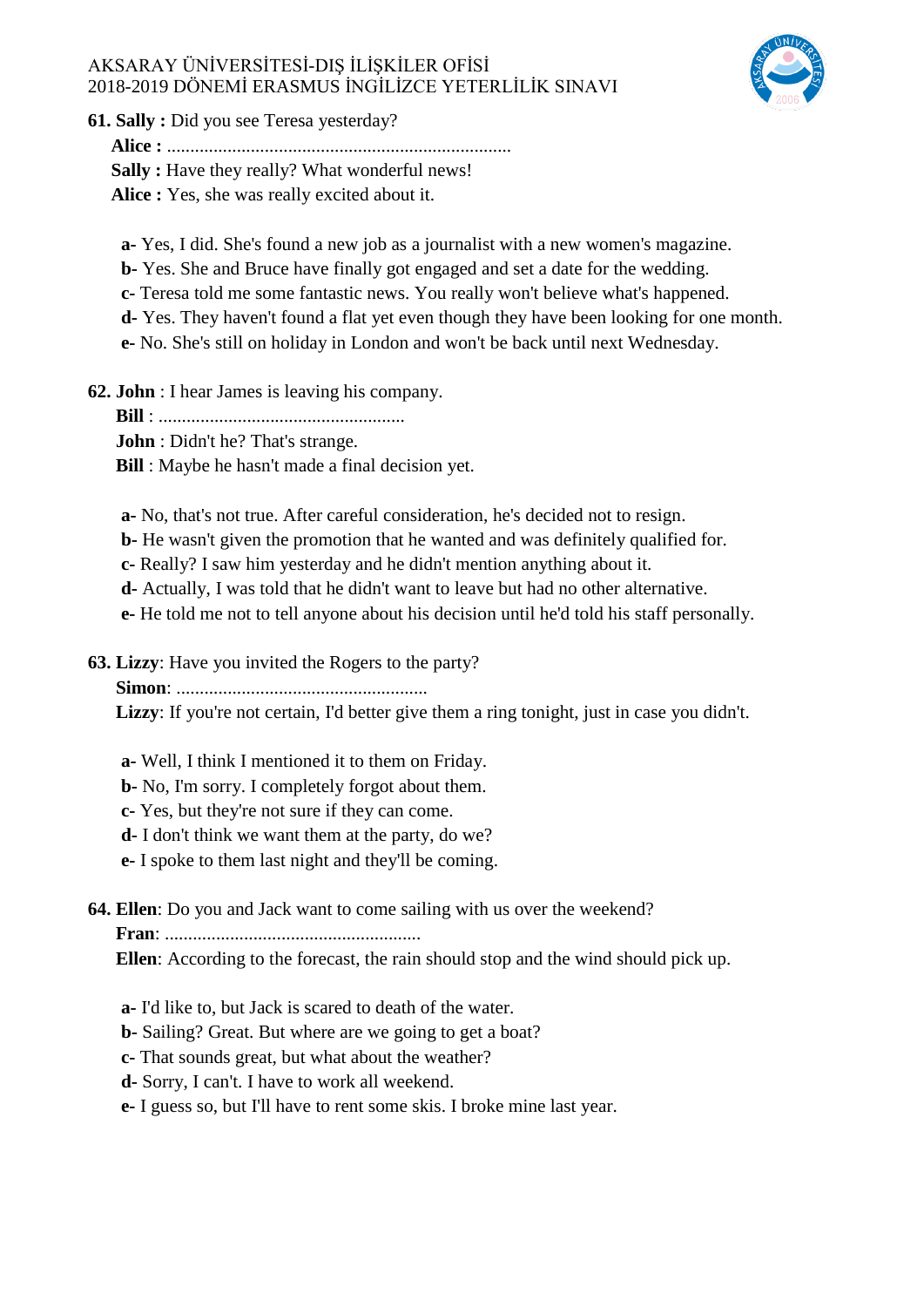

**61. Sally :** Did you see Teresa yesterday?

 **Alice :** ..........................................................................

 **Sally :** Have they really? What wonderful news!

 **Alice :** Yes, she was really excited about it.

**a-** Yes, I did. She's found a new job as a journalist with a new women's magazine.

**b-** Yes. She and Bruce have finally got engaged and set a date for the wedding.

**c-** Teresa told me some fantastic news. You really won't believe what's happened.

**d-** Yes. They haven't found a flat yet even though they have been looking for one month.

**e-** No. She's still on holiday in London and won't be back until next Wednesday.

**62. John** : I hear James is leaving his company.

 **Bill** : .....................................................

 **John** : Didn't he? That's strange.

 **Bill** : Maybe he hasn't made a final decision yet.

**a-** No, that's not true. After careful consideration, he's decided not to resign.

**b-** He wasn't given the promotion that he wanted and was definitely qualified for.

**c-** Really? I saw him yesterday and he didn't mention anything about it.

**d-** Actually, I was told that he didn't want to leave but had no other alternative.

**e-** He told me not to tell anyone about his decision until he'd told his staff personally.

**63. Lizzy**: Have you invited the Rogers to the party?

 **Simon**: ......................................................

Lizzy: If you're not certain, I'd better give them a ring tonight, just in case you didn't.

**a-** Well, I think I mentioned it to them on Friday.

**b-** No, I'm sorry. I completely forgot about them.

**c-** Yes, but they're not sure if they can come.

**d-** I don't think we want them at the party, do we?

**e-** I spoke to them last night and they'll be coming.

**64. Ellen**: Do you and Jack want to come sailing with us over the weekend?

 **Fran**: .......................................................

 **Ellen**: According to the forecast, the rain should stop and the wind should pick up.

**a-** I'd like to, but Jack is scared to death of the water.

**b-** Sailing? Great. But where are we going to get a boat?

**c-** That sounds great, but what about the weather?

**d-** Sorry, I can't. I have to work all weekend.

**e-** I guess so, but I'll have to rent some skis. I broke mine last year.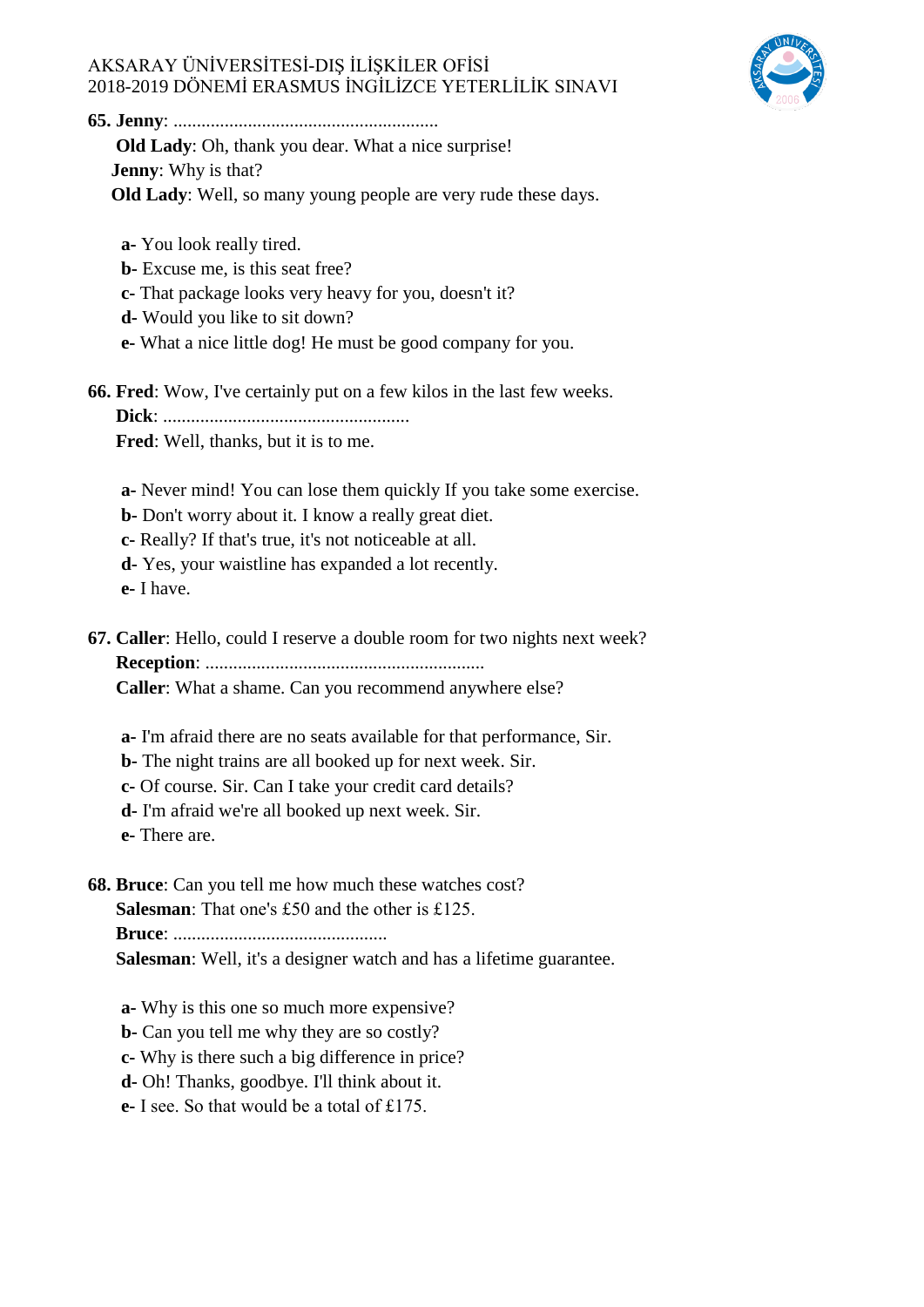

**65. Jenny**: .........................................................

 **Old Lady**: Oh, thank you dear. What a nice surprise!  **Jenny**: Why is that?

 **Old Lady**: Well, so many young people are very rude these days.

**a-** You look really tired.

**b-** Excuse me, is this seat free?

**c-** That package looks very heavy for you, doesn't it?

**d-** Would you like to sit down?

**e-** What a nice little dog! He must be good company for you.

**66. Fred**: Wow, I've certainly put on a few kilos in the last few weeks.  **Dick**: .....................................................

 **Fred**: Well, thanks, but it is to me.

**a-** Never mind! You can lose them quickly If you take some exercise.

**b-** Don't worry about it. I know a really great diet.

**c-** Really? If that's true, it's not noticeable at all.

**d-** Yes, your waistline has expanded a lot recently.

**e-** I have.

**67. Caller**: Hello, could I reserve a double room for two nights next week?

 **Reception**: ............................................................

 **Caller**: What a shame. Can you recommend anywhere else?

**a-** I'm afraid there are no seats available for that performance, Sir.

**b-** The night trains are all booked up for next week. Sir.

**c-** Of course. Sir. Can I take your credit card details?

**d-** I'm afraid we're all booked up next week. Sir.

**e-** There are.

**68. Bruce**: Can you tell me how much these watches cost?

 **Salesman**: That one's £50 and the other is £125.

 **Bruce**: ..............................................

 **Salesman**: Well, it's a designer watch and has a lifetime guarantee.

**a-** Why is this one so much more expensive?

**b-** Can you tell me why they are so costly?

**c-** Why is there such a big difference in price?

**d-** Oh! Thanks, goodbye. I'll think about it.

**e-** I see. So that would be a total of £175.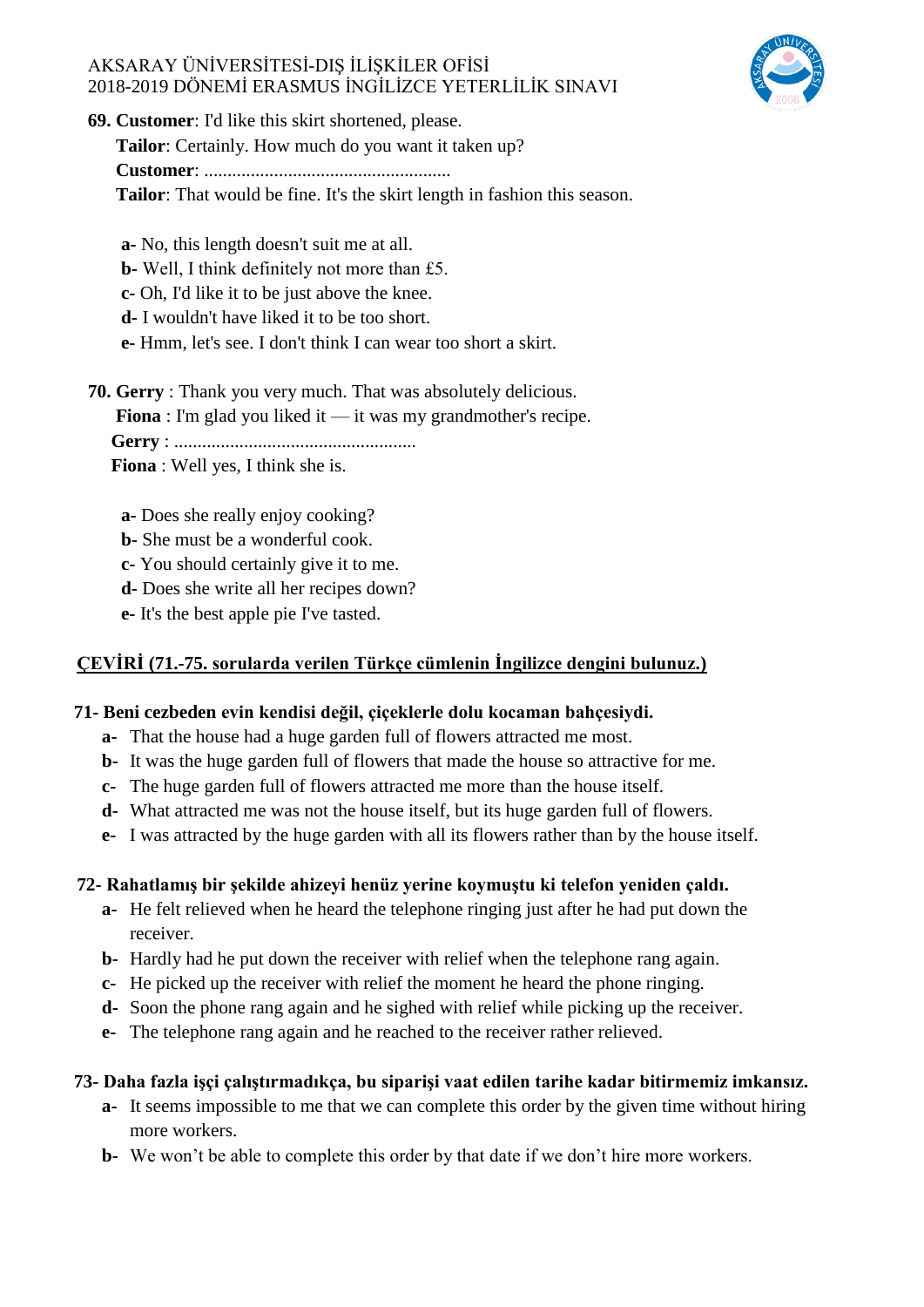

**69. Customer**: I'd like this skirt shortened, please.

 **Tailor**: Certainly. How much do you want it taken up?

 **Customer**: .....................................................

 **Tailor**: That would be fine. It's the skirt length in fashion this season.

**a-** No, this length doesn't suit me at all.

**b-** Well, I think definitely not more than £5.

**c-** Oh, I'd like it to be just above the knee.

**d-** I wouldn't have liked it to be too short.

**e-** Hmm, let's see. I don't think I can wear too short a skirt.

**70. Gerry** : Thank you very much. That was absolutely delicious.

**Fiona** : I'm glad you liked it — it was my grandmother's recipe.

 **Gerry** : ....................................................

 **Fiona** : Well yes, I think she is.

**a-** Does she really enjoy cooking?

**b-** She must be a wonderful cook.

**c-** You should certainly give it to me.

**d-** Does she write all her recipes down?

**e-** It's the best apple pie I've tasted.

## **ÇEVİRİ (71.-75. sorularda verilen Türkçe cümlenin İngilizce dengini bulunuz.)**

## **71- Beni cezbeden evin kendisi değil, çiçeklerle dolu kocaman bahçesiydi.**

- **a-** That the house had a huge garden full of flowers attracted me most.
- **b-** It was the huge garden full of flowers that made the house so attractive for me.
- **c-** The huge garden full of flowers attracted me more than the house itself.
- **d-** What attracted me was not the house itself, but its huge garden full of flowers.
- **e-** I was attracted by the huge garden with all its flowers rather than by the house itself.

## **72- Rahatlamış bir şekilde ahizeyi henüz yerine koymuştu ki telefon yeniden çaldı.**

- **a-** He felt relieved when he heard the telephone ringing just after he had put down the receiver.
- **b-** Hardly had he put down the receiver with relief when the telephone rang again.
- **c-** He picked up the receiver with relief the moment he heard the phone ringing.
- **d-** Soon the phone rang again and he sighed with relief while picking up the receiver.
- **e-** The telephone rang again and he reached to the receiver rather relieved.

## **73- Daha fazla işçi çalıştırmadıkça, bu siparişi vaat edilen tarihe kadar bitirmemiz imkansız.**

- **a-** It seems impossible to me that we can complete this order by the given time without hiring more workers.
- **b-** We won't be able to complete this order by that date if we don't hire more workers.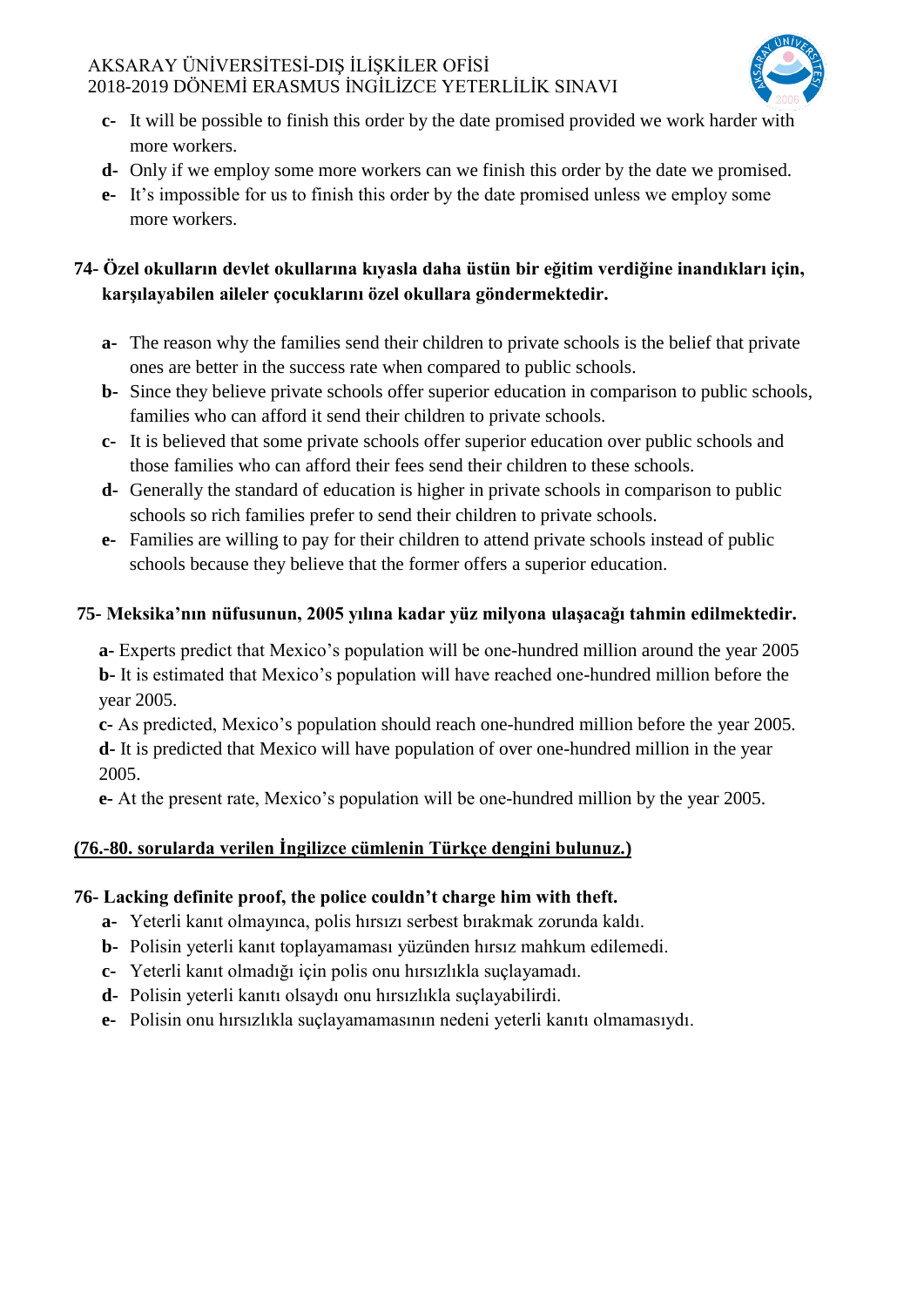

- **c-** It will be possible to finish this order by the date promised provided we work harder with more workers.
- **d-** Only if we employ some more workers can we finish this order by the date we promised.
- **e-** It's impossible for us to finish this order by the date promised unless we employ some more workers.

# **74- Özel okulların devlet okullarına kıyasla daha üstün bir eğitim verdiğine inandıkları için, karşılayabilen aileler çocuklarını özel okullara göndermektedir.**

- **a-** The reason why the families send their children to private schools is the belief that private ones are better in the success rate when compared to public schools.
- **b-** Since they believe private schools offer superior education in comparison to public schools, families who can afford it send their children to private schools.
- **c-** It is believed that some private schools offer superior education over public schools and those families who can afford their fees send their children to these schools.
- **d-** Generally the standard of education is higher in private schools in comparison to public schools so rich families prefer to send their children to private schools.
- **e-** Families are willing to pay for their children to attend private schools instead of public schools because they believe that the former offers a superior education.

# **75- Meksika'nın nüfusunun, 2005 yılına kadar yüz milyona ulaşacağı tahmin edilmektedir.**

**a-** Experts predict that Mexico's population will be one-hundred million around the year 2005 **b-** It is estimated that Mexico's population will have reached one-hundred million before the year 2005.

**c-** As predicted, Mexico's population should reach one-hundred million before the year 2005. **d-** It is predicted that Mexico will have population of over one-hundred million in the year 2005.

**e-** At the present rate, Mexico's population will be one-hundred million by the year 2005.

# **(76.-80. sorularda verilen İngilizce cümlenin Türkçe dengini bulunuz.)**

# **76- Lacking definite proof, the police couldn't charge him with theft.**

- **a-** Yeterli kanıt olmayınca, polis hırsızı serbest bırakmak zorunda kaldı.
- **b-** Polisin yeterli kanıt toplayamaması yüzünden hırsız mahkum edilemedi.
- **c-** Yeterli kanıt olmadığı için polis onu hırsızlıkla suçlayamadı.
- **d-** Polisin yeterli kanıtı olsaydı onu hırsızlıkla suçlayabilirdi.
- **e-** Polisin onu hırsızlıkla suçlayamamasının nedeni yeterli kanıtı olmamasıydı.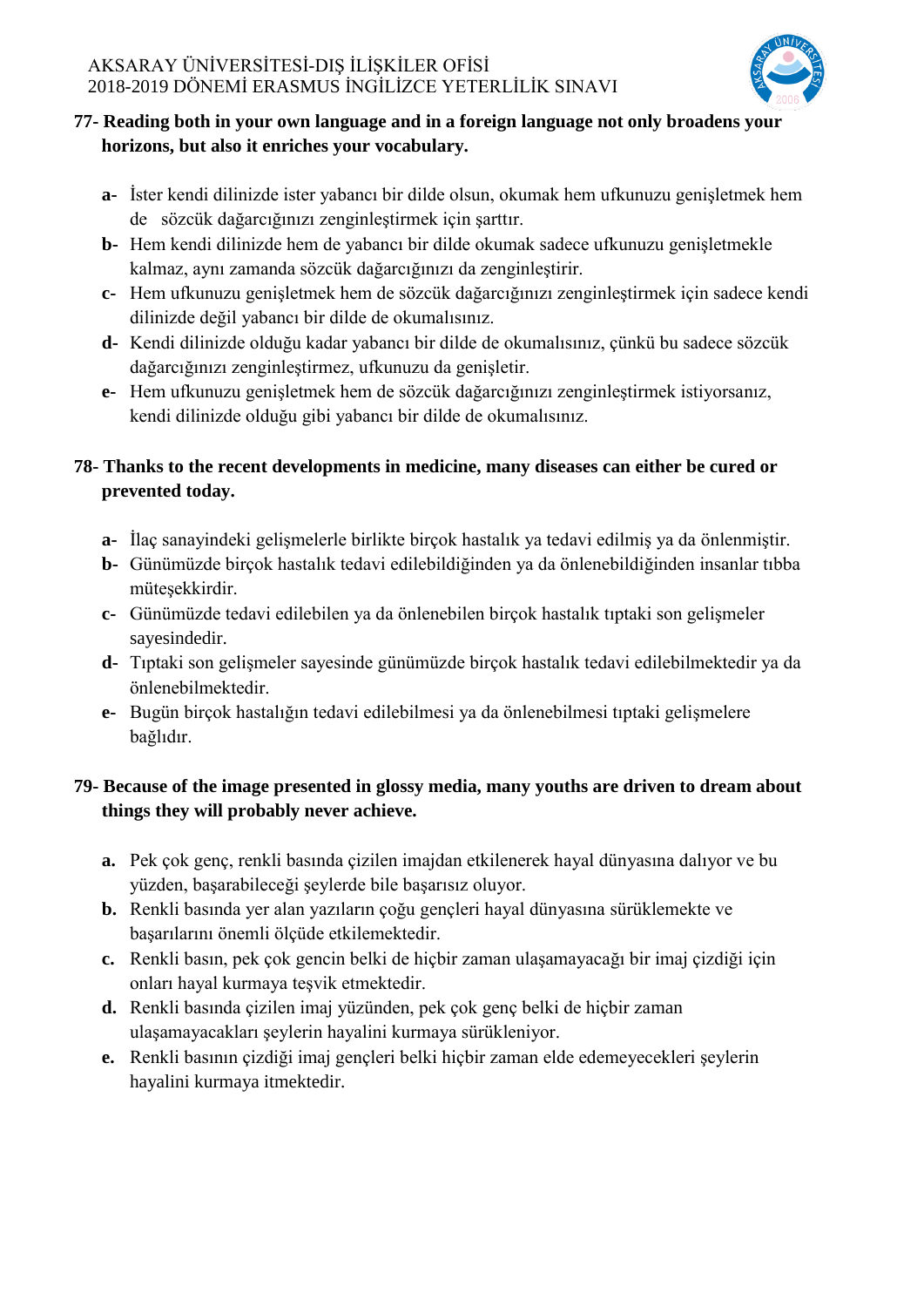

# **77- Reading both in your own language and in a foreign language not only broadens your horizons, but also it enriches your vocabulary.**

- **a-** İster kendi dilinizde ister yabancı bir dilde olsun, okumak hem ufkunuzu genişletmek hem de sözcük dağarcığınızı zenginleştirmek için şarttır.
- **b-** Hem kendi dilinizde hem de yabancı bir dilde okumak sadece ufkunuzu genişletmekle kalmaz, aynı zamanda sözcük dağarcığınızı da zenginleştirir.
- **c-** Hem ufkunuzu genişletmek hem de sözcük dağarcığınızı zenginleştirmek için sadece kendi dilinizde değil yabancı bir dilde de okumalısınız.
- **d-** Kendi dilinizde olduğu kadar yabancı bir dilde de okumalısınız, çünkü bu sadece sözcük dağarcığınızı zenginleştirmez, ufkunuzu da genişletir.
- **e-** Hem ufkunuzu genişletmek hem de sözcük dağarcığınızı zenginleştirmek istiyorsanız, kendi dilinizde olduğu gibi yabancı bir dilde de okumalısınız.

# **78- Thanks to the recent developments in medicine, many diseases can either be cured or prevented today.**

- **a-** İlaç sanayindeki gelişmelerle birlikte birçok hastalık ya tedavi edilmiş ya da önlenmiştir.
- **b-** Günümüzde birçok hastalık tedavi edilebildiğinden ya da önlenebildiğinden insanlar tıbba müteşekkirdir.
- **c-** Günümüzde tedavi edilebilen ya da önlenebilen birçok hastalık tıptaki son gelişmeler sayesindedir.
- **d-** Tıptaki son gelişmeler sayesinde günümüzde birçok hastalık tedavi edilebilmektedir ya da önlenebilmektedir.
- **e-** Bugün birçok hastalığın tedavi edilebilmesi ya da önlenebilmesi tıptaki gelişmelere bağlıdır.

# **79- Because of the image presented in glossy media, many youths are driven to dream about things they will probably never achieve.**

- **a.** Pek çok genç, renkli basında çizilen imajdan etkilenerek hayal dünyasına dalıyor ve bu yüzden, başarabileceği şeylerde bile başarısız oluyor.
- **b.** Renkli basında yer alan yazıların çoğu gençleri hayal dünyasına sürüklemekte ve başarılarını önemli ölçüde etkilemektedir.
- **c.** Renkli basın, pek çok gencin belki de hiçbir zaman ulaşamayacağı bir imaj çizdiği için onları hayal kurmaya teşvik etmektedir.
- **d.** Renkli basında çizilen imaj yüzünden, pek çok genç belki de hiçbir zaman ulaşamayacakları şeylerin hayalini kurmaya sürükleniyor.
- **e.** Renkli basının çizdiği imaj gençleri belki hiçbir zaman elde edemeyecekleri şeylerin hayalini kurmaya itmektedir.